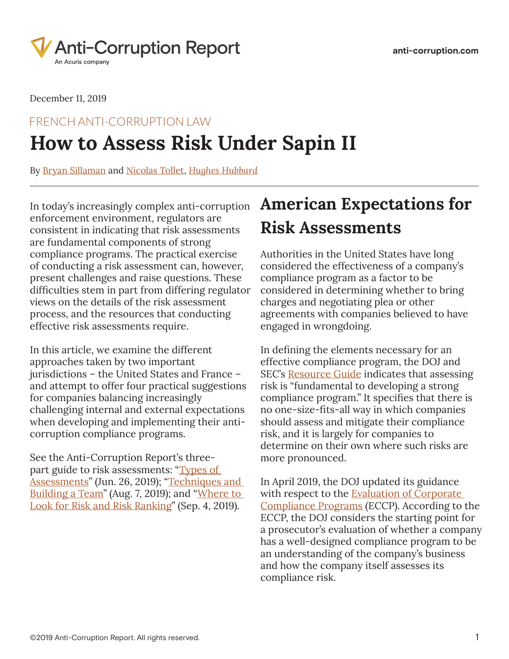

December 11, 2019

## **How to Assess Risk Under Sapin II** FRENCH ANTI-CORRUPTION LAW

By [Bryan Sillaman](https://www.anti-corruption.com/search/?tagType=People&tagName=Bryan+Sillaman&tagID=94391) and [Nicolas Tollet](https://www.anti-corruption.com/search/?tagType=People&tagName=Nicolas+Tollet&tagID=98981), *[Hughes Hubbard](https://www.anti-corruption.com/search/?tagType=Entities&tagName=Hughes+Hubbard&tagID=76091)*

In today's increasingly complex anti-corruption enforcement environment, regulators are consistent in indicating that risk assessments are fundamental components of strong compliance programs. The practical exercise of conducting a risk assessment can, however, present challenges and raise questions. These difficulties stem in part from differing regulator views on the details of the risk assessment process, and the resources that conducting effective risk assessments require.

In this article, we examine the different approaches taken by two important jurisdictions – the United States and France – and attempt to offer four practical suggestions for companies balancing increasingly challenging internal and external expectations when developing and implementing their anticorruption compliance programs.

See the Anti-Corruption Report's threepart guide to risk assessments: "Types of [Assessments"](https://www.anti-corruption.com/2824961/the-anticorruption-reports-guide-to-risk-assessments-types-of-assessments.thtml) (Jun. 26, 2019); ["Techniques and](https://www.anti-corruption.com/3431311/the-anticorruption-reports-guide-to-risk-assessments-techniques-and-building-a-team.thtml)  [Building a Team](https://www.anti-corruption.com/3431311/the-anticorruption-reports-guide-to-risk-assessments-techniques-and-building-a-team.thtml)" (Aug. 7, 2019); and "[Where to](https://www.anti-corruption.com/3660901/the-anticorruption-reports-guide-to-risk-assessments-where-to-look-for-risk-and-risk-ranking.thtml)  [Look for Risk and Risk Ranking"](https://www.anti-corruption.com/3660901/the-anticorruption-reports-guide-to-risk-assessments-where-to-look-for-risk-and-risk-ranking.thtml) (Sep. 4, 2019).

# **American Expectations for Risk Assessments**

Authorities in the United States have long considered the effectiveness of a company's compliance program as a factor to be considered in determining whether to bring charges and negotiating plea or other agreements with companies believed to have engaged in wrongdoing.

In defining the elements necessary for an effective compliance program, the DOJ and SEC's [Resource Guide](https://www.anti-corruption.com/2572476/doj-and-sec-officials-provide-candid-insight-into-the-recently-issued-fcpa-guidance.thtml) indicates that assessing risk is "fundamental to developing a strong compliance program." It specifies that there is no one-size-fits-all way in which companies should assess and mitigate their compliance risk, and it is largely for companies to determine on their own where such risks are more pronounced.

In April 2019, the DOJ updated its guidance with respect to the Evaluation of Corporate [Compliance Programs](https://cdn.wide-area.com/acuris/files/anti-corruption-report/doj-evaluation-of-corporate-compliance-programs-april-2019-final.pdf) (ECCP). According to the ECCP, the DOJ considers the starting point for a prosecutor's evaluation of whether a company has a well-designed compliance program to be an understanding of the company's business and how the company itself assesses its compliance risk.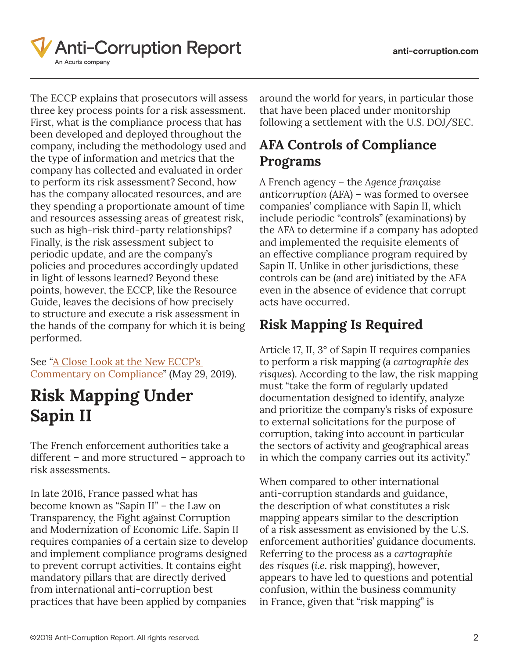

The ECCP explains that prosecutors will assess three key process points for a risk assessment. First, what is the compliance process that has been developed and deployed throughout the company, including the methodology used and the type of information and metrics that the company has collected and evaluated in order to perform its risk assessment? Second, how has the company allocated resources, and are they spending a proportionate amount of time and resources assessing areas of greatest risk, such as high-risk third-party relationships? Finally, is the risk assessment subject to periodic update, and are the company's policies and procedures accordingly updated in light of lessons learned? Beyond these points, however, the ECCP, like the Resource Guide, leaves the decisions of how precisely to structure and execute a risk assessment in the hands of the company for which it is being performed.

See ["A Close Look at the New ECCP's](https://www.anti-corruption.com/2745496/a-close-look-at-the-new-eccps-commentary-on-compliance.thtml)  [Commentary on Compliance](https://www.anti-corruption.com/2745496/a-close-look-at-the-new-eccps-commentary-on-compliance.thtml)" (May 29, 2019).

# **Risk Mapping Under Sapin II**

The French enforcement authorities take a different – and more structured – approach to risk assessments.

In late 2016, France passed what has become known as "Sapin II" – the Law on Transparency, the Fight against Corruption and Modernization of Economic Life. Sapin II requires companies of a certain size to develop and implement compliance programs designed to prevent corrupt activities. It contains eight mandatory pillars that are directly derived from international anti-corruption best practices that have been applied by companies

around the world for years, in particular those that have been placed under monitorship following a settlement with the U.S. DOJ/SEC.

### **AFA Controls of Compliance Programs**

A French agency – the *Agence française anticorruption* (AFA) – was formed to oversee companies' compliance with Sapin II, which include periodic "controls" (examinations) by the AFA to determine if a company has adopted and implemented the requisite elements of an effective compliance program required by Sapin II. Unlike in other jurisdictions, these controls can be (and are) initiated by the AFA even in the absence of evidence that corrupt acts have occurred.

### **Risk Mapping Is Required**

Article 17, II, 3° of Sapin II requires companies to perform a risk mapping (a *cartographie des risques*). According to the law, the risk mapping must "take the form of regularly updated documentation designed to identify, analyze and prioritize the company's risks of exposure to external solicitations for the purpose of corruption, taking into account in particular the sectors of activity and geographical areas in which the company carries out its activity."

When compared to other international anti-corruption standards and guidance, the description of what constitutes a risk mapping appears similar to the description of a risk assessment as envisioned by the U.S. enforcement authorities' guidance documents. Referring to the process as a *cartographie des risques* (*i.e*. risk mapping), however, appears to have led to questions and potential confusion, within the business community in France, given that "risk mapping" is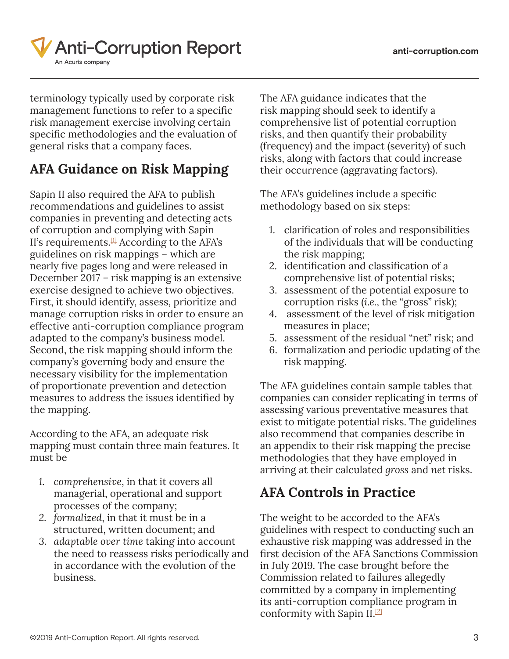

terminology typically used by corporate risk management functions to refer to a specific risk management exercise involving certain specific methodologies and the evaluation of general risks that a company faces.

### **AFA Guidance on Risk Mapping**

Sapin II also required the AFA to publish recommendations and guidelines to assist companies in preventing and detecting acts of corruption and complying with Sapin II's requirements. $[1]$  According to the AFA's guidelines on risk mappings – which are nearly five pages long and were released in December 2017 – risk mapping is an extensive exercise designed to achieve two objectives. First, it should identify, assess, prioritize and manage corruption risks in order to ensure an effective anti-corruption compliance program adapted to the company's business model. Second, the risk mapping should inform the company's governing body and ensure the necessary visibility for the implementation of proportionate prevention and detection measures to address the issues identified by the mapping.

According to the AFA, an adequate risk mapping must contain three main features. It must be

- *1. comprehensive*, in that it covers all managerial, operational and support processes of the company;
- *2. formalized*, in that it must be in a structured, written document; and
- *3. adaptable over time* taking into account the need to reassess risks periodically and in accordance with the evolution of the business.

The AFA guidance indicates that the risk mapping should seek to identify a comprehensive list of potential corruption risks, and then quantify their probability (frequency) and the impact (severity) of such risks, along with factors that could increase their occurrence (aggravating factors).

The AFA's guidelines include a specific methodology based on six steps:

- 1. clarification of roles and responsibilities of the individuals that will be conducting the risk mapping;
- 2. identification and classification of a comprehensive list of potential risks;
- 3. assessment of the potential exposure to corruption risks (*i.e.*, the "gross" risk);
- 4. assessment of the level of risk mitigation measures in place;
- 5. assessment of the residual "net" risk; and
- 6. formalization and periodic updating of the risk mapping.

The AFA guidelines contain sample tables that companies can consider replicating in terms of assessing various preventative measures that exist to mitigate potential risks. The guidelines also recommend that companies describe in an appendix to their risk mapping the precise methodologies that they have employed in arriving at their calculated *gross* and *net* risks.

#### **AFA Controls in Practice**

The weight to be accorded to the AFA's guidelines with respect to conducting such an exhaustive risk mapping was addressed in the first decision of the AFA Sanctions Commission in July 2019. The case brought before the Commission related to failures allegedly committed by a company in implementing its anti-corruption compliance program in conformity with Sapin II[.\[2\]](https://www.anti-corruption.com/4196777/how-to-assess-risk-under-sapin-ii.thtml#_ftn2)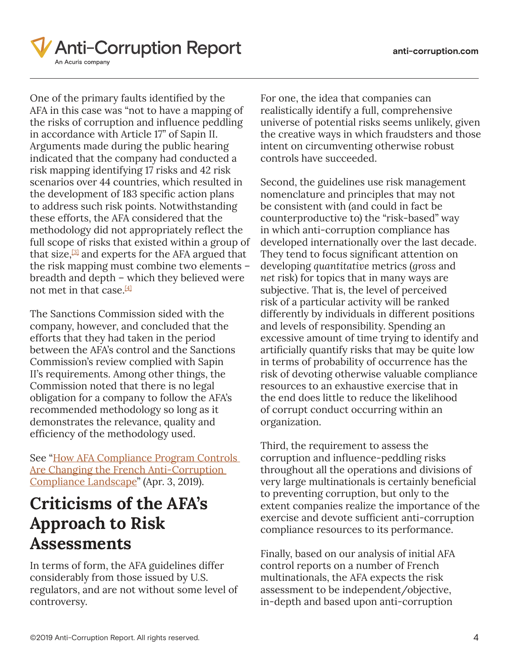

One of the primary faults identified by the AFA in this case was "not to have a mapping of the risks of corruption and influence peddling in accordance with Article 17" of Sapin II. Arguments made during the public hearing indicated that the company had conducted a risk mapping identifying 17 risks and 42 risk scenarios over 44 countries, which resulted in the development of 183 specific action plans to address such risk points. Notwithstanding these efforts, the AFA considered that the methodology did not appropriately reflect the full scope of risks that existed within a group of that size, $[3]$  and experts for the AFA argued that the risk mapping must combine two elements – breadth and depth – which they believed were not met in that case.  $[4]$ 

The Sanctions Commission sided with the company, however, and concluded that the efforts that they had taken in the period between the AFA's control and the Sanctions Commission's review complied with Sapin II's requirements. Among other things, the Commission noted that there is no legal obligation for a company to follow the AFA's recommended methodology so long as it demonstrates the relevance, quality and efficiency of the methodology used.

See "[How AFA Compliance Program Controls](https://www.anti-corruption.com/2696586/how-afa-compliance-program-controls-are-changing-the-french-anti-corruption-compliance-landscape.thtml)  [Are Changing the French Anti-Corruption](https://www.anti-corruption.com/2696586/how-afa-compliance-program-controls-are-changing-the-french-anti-corruption-compliance-landscape.thtml)  [Compliance Landscape"](https://www.anti-corruption.com/2696586/how-afa-compliance-program-controls-are-changing-the-french-anti-corruption-compliance-landscape.thtml) (Apr. 3, 2019).

## **Criticisms of the AFA's Approach to Risk Assessments**

In terms of form, the AFA guidelines differ considerably from those issued by U.S. regulators, and are not without some level of controversy.

For one, the idea that companies can realistically identify a full, comprehensive universe of potential risks seems unlikely, given the creative ways in which fraudsters and those intent on circumventing otherwise robust controls have succeeded.

Second, the guidelines use risk management nomenclature and principles that may not be consistent with (and could in fact be counterproductive to) the "risk-based" way in which anti-corruption compliance has developed internationally over the last decade. They tend to focus significant attention on developing *quantitative* metrics (*gross* and *net* risk) for topics that in many ways are subjective. That is, the level of perceived risk of a particular activity will be ranked differently by individuals in different positions and levels of responsibility. Spending an excessive amount of time trying to identify and artificially quantify risks that may be quite low in terms of probability of occurrence has the risk of devoting otherwise valuable compliance resources to an exhaustive exercise that in the end does little to reduce the likelihood of corrupt conduct occurring within an organization.

Third, the requirement to assess the corruption and influence-peddling risks throughout all the operations and divisions of very large multinationals is certainly beneficial to preventing corruption, but only to the extent companies realize the importance of the exercise and devote sufficient anti-corruption compliance resources to its performance.

Finally, based on our analysis of initial AFA control reports on a number of French multinationals, the AFA expects the risk assessment to be independent/objective, in-depth and based upon anti-corruption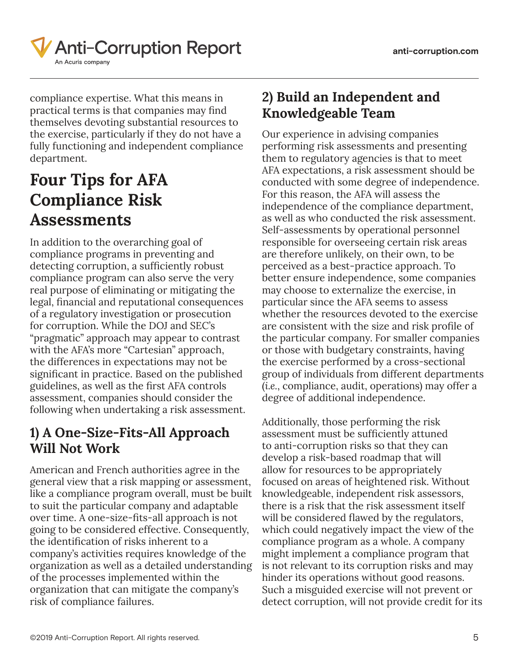

compliance expertise. What this means in practical terms is that companies may find themselves devoting substantial resources to the exercise, particularly if they do not have a fully functioning and independent compliance department.

# **Four Tips for AFA Compliance Risk Assessments**

In addition to the overarching goal of compliance programs in preventing and detecting corruption, a sufficiently robust compliance program can also serve the very real purpose of eliminating or mitigating the legal, financial and reputational consequences of a regulatory investigation or prosecution for corruption. While the DOJ and SEC's "pragmatic" approach may appear to contrast with the AFA's more "Cartesian" approach, the differences in expectations may not be significant in practice. Based on the published guidelines, as well as the first AFA controls assessment, companies should consider the following when undertaking a risk assessment.

#### **1) A One-Size-Fits-All Approach Will Not Work**

American and French authorities agree in the general view that a risk mapping or assessment, like a compliance program overall, must be built to suit the particular company and adaptable over time. A one-size-fits-all approach is not going to be considered effective. Consequently, the identification of risks inherent to a company's activities requires knowledge of the organization as well as a detailed understanding of the processes implemented within the organization that can mitigate the company's risk of compliance failures.

#### **2) Build an Independent and Knowledgeable Team**

Our experience in advising companies performing risk assessments and presenting them to regulatory agencies is that to meet AFA expectations, a risk assessment should be conducted with some degree of independence. For this reason, the AFA will assess the independence of the compliance department, as well as who conducted the risk assessment. Self-assessments by operational personnel responsible for overseeing certain risk areas are therefore unlikely, on their own, to be perceived as a best-practice approach. To better ensure independence, some companies may choose to externalize the exercise, in particular since the AFA seems to assess whether the resources devoted to the exercise are consistent with the size and risk profile of the particular company. For smaller companies or those with budgetary constraints, having the exercise performed by a cross-sectional group of individuals from different departments (*i.e.*, compliance, audit, operations) may offer a degree of additional independence.

Additionally, those performing the risk assessment must be sufficiently attuned to anti-corruption risks so that they can develop a risk-based roadmap that will allow for resources to be appropriately focused on areas of heightened risk. Without knowledgeable, independent risk assessors, there is a risk that the risk assessment itself will be considered flawed by the regulators, which could negatively impact the view of the compliance program as a whole. A company might implement a compliance program that is not relevant to its corruption risks and may hinder its operations without good reasons. Such a misguided exercise will not prevent or detect corruption, will not provide credit for its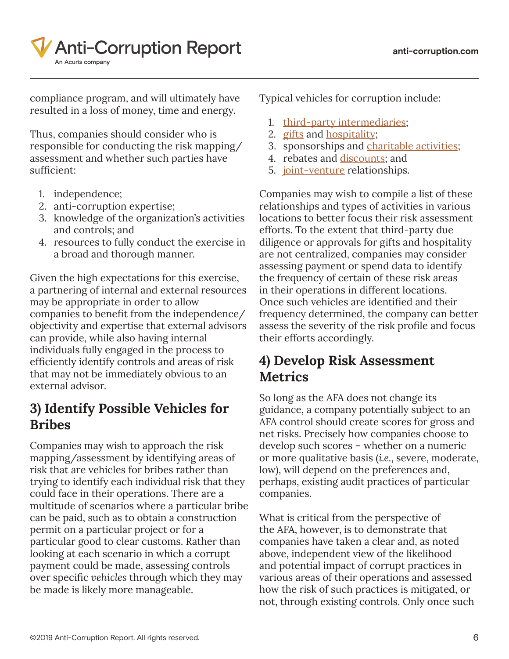

compliance program, and will ultimately have resulted in a loss of money, time and energy.

Thus, companies should consider who is responsible for conducting the risk mapping/ assessment and whether such parties have sufficient:

- 1. independence;
- 2. anti-corruption expertise;
- 3. knowledge of the organization's activities and controls; and
- 4. resources to fully conduct the exercise in a broad and thorough manner.

Given the high expectations for this exercise, a partnering of internal and external resources may be appropriate in order to allow companies to benefit from the independence/ objectivity and expertise that external advisors can provide, while also having internal individuals fully engaged in the process to efficiently identify controls and areas of risk that may not be immediately obvious to an external advisor.

#### **3) Identify Possible Vehicles for Bribes**

Companies may wish to approach the risk mapping/assessment by identifying areas of risk that are vehicles for bribes rather than trying to identify each individual risk that they could face in their operations. There are a multitude of scenarios where a particular bribe can be paid, such as to obtain a construction permit on a particular project or for a particular good to clear customs. Rather than looking at each scenario in which a corrupt payment could be made, assessing controls over specific *vehicles* through which they may be made is likely more manageable.

Typical vehicles for corruption include:

- 1. [third-party intermediaries](https://www.anti-corruption.com/search/?tagType=topics&tagName=Third+Parties&tagID=20696);
- 2. [gifts](https://www.anti-corruption.com/search/?tagType=topics&tagName=Gifts&tagID=20901) and **hospitality**;
- 3. sponsorships and [charitable activities;](https://www.anti-corruption.com/search/?tagType=topics&tagName=Charitable+Donations&tagID=20771)
- 4. rebates and [discounts](https://www.anti-corruption.com/search/?tagType=topics&tagName=Discounts&tagID=21186); and
- 5. [joint-venture](https://www.anti-corruption.com/search/?tagType=topics&tagName=Joint+Ventures&tagID=20701) relationships.

Companies may wish to compile a list of these relationships and types of activities in various locations to better focus their risk assessment efforts. To the extent that third-party due diligence or approvals for gifts and hospitality are not centralized, companies may consider assessing payment or spend data to identify the frequency of certain of these risk areas in their operations in different locations. Once such vehicles are identified and their frequency determined, the company can better assess the severity of the risk profile and focus their efforts accordingly.

#### **4) Develop Risk Assessment Metrics**

So long as the AFA does not change its guidance, a company potentially subject to an AFA control should create scores for gross and net risks. Precisely how companies choose to develop such scores – whether on a numeric or more qualitative basis (*i.e.*, severe, moderate, low), will depend on the preferences and, perhaps, existing audit practices of particular companies.

What is critical from the perspective of the AFA, however, is to demonstrate that companies have taken a clear and, as noted above, independent view of the likelihood and potential impact of corrupt practices in various areas of their operations and assessed how the risk of such practices is mitigated, or not, through existing controls. Only once such